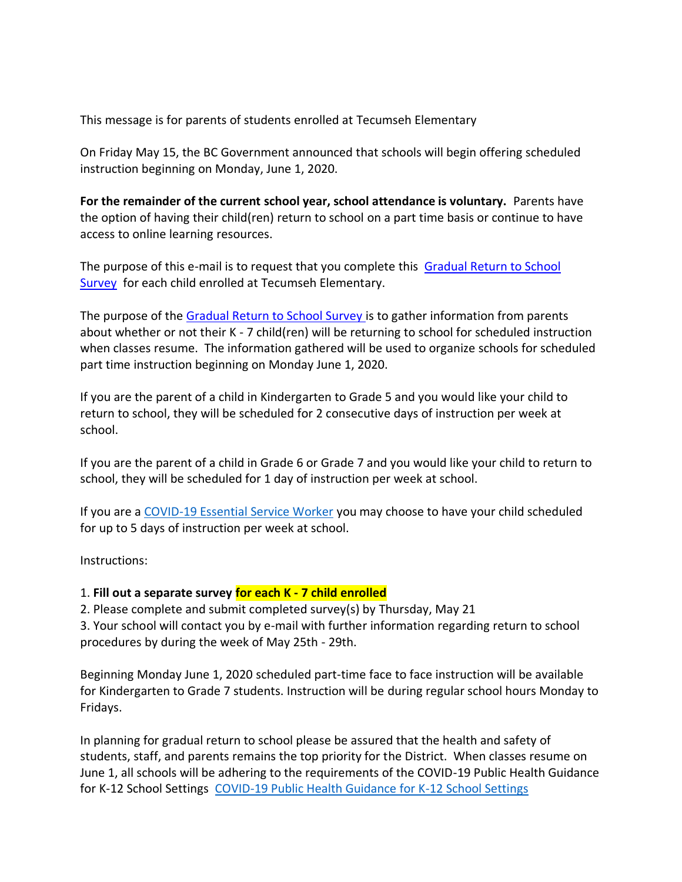This message is for parents of students enrolled at Tecumseh Elementary

On Friday May 15, the BC Government announced that schools will begin offering scheduled instruction beginning on Monday, June 1, 2020.

**For the remainder of the current school year, school attendance is voluntary.** Parents have the option of having their child(ren) return to school on a part time basis or continue to have access to online learning resources.

The purpose of this e-mail is to request that you complete this [Gradual Return to School](https://forms.office.com/Pages/ResponsePage.aspx?id=WC6KCzB7CEq6t9dVWeDjpXwSmh1xt-xEgZfly5FOzodUMkhFNk5UTzdaUzNDSVNEWFVOM1JaNkpRRS4u)  [Survey](https://forms.office.com/Pages/ResponsePage.aspx?id=WC6KCzB7CEq6t9dVWeDjpXwSmh1xt-xEgZfly5FOzodUMkhFNk5UTzdaUzNDSVNEWFVOM1JaNkpRRS4u) for each child enrolled at Tecumseh Elementary.

The purpose of the [Gradual Return to School Survey](https://forms.office.com/Pages/ResponsePage.aspx?id=WC6KCzB7CEq6t9dVWeDjpXwSmh1xt-xEgZfly5FOzodUMkhFNk5UTzdaUzNDSVNEWFVOM1JaNkpRRS4u) is to gather information from parents about whether or not their K - 7 child(ren) will be returning to school for scheduled instruction when classes resume. The information gathered will be used to organize schools for scheduled part time instruction beginning on Monday June 1, 2020.

If you are the parent of a child in Kindergarten to Grade 5 and you would like your child to return to school, they will be scheduled for 2 consecutive days of instruction per week at school.

If you are the parent of a child in Grade 6 or Grade 7 and you would like your child to return to school, they will be scheduled for 1 day of instruction per week at school.

If you are a [COVID-19 Essential Service Worker](https://www2.gov.bc.ca/gov/content/safety/emergency-preparedness-response-recovery/covid-19-provincial-support/essential-services-covid-19) you may choose to have your child scheduled for up to 5 days of instruction per week at school.

Instructions:

## 1. **Fill out a separate survey for each K - 7 child enrolled**

2. Please complete and submit completed survey(s) by Thursday, May 21

3. Your school will contact you by e-mail with further information regarding return to school procedures by during the week of May 25th - 29th.

Beginning Monday June 1, 2020 scheduled part-time face to face instruction will be available for Kindergarten to Grade 7 students. Instruction will be during regular school hours Monday to Fridays.

In planning for gradual return to school please be assured that the health and safety of students, staff, and parents remains the top priority for the District. When classes resume on June 1, all schools will be adhering to the requirements of the COVID-19 Public Health Guidance for K-12 School Settings [COVID-19 Public Health Guidance for K-12 School Settings](https://www2.gov.bc.ca/assets/gov/health/about-bc-s-health-care-system/office-of-the-provincial-health-officer/covid-19/covid-19_k-12_school_guidance_-_2020_may_15_-_final.pdf)